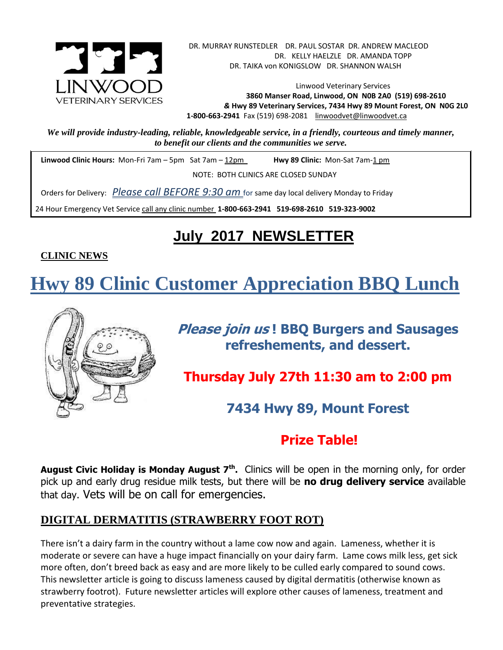

Linwood Veterinary Services **3860 Manser Road, Linwood, ON N0B 2A0 (519) 698-2610** *&* **Hwy 89 Veterinary Services, 7434 Hwy 89 Mount Forest, ON N0G 2L0 1-800-663-2941** Fax (519) 698-2081[linwoodvet@linwoodvet.ca](mailto:linwoodvet@linwoodvet.ca)

*We will provide industry-leading, reliable, knowledgeable service, in a friendly, courteous and timely manner, to benefit our clients and the communities we serve.*

**Linwood Clinic Hours:** Mon-Fri 7am – 5pm Sat 7am – 12pm **Hwy 89 Clinic:** Mon-Sat 7am-1 pm

NOTE: BOTH CLINICS ARE CLOSED SUNDAY

Orders for Delivery: *Please call BEFORE 9:30 am* for same day local delivery Monday to Friday

24 Hour Emergency Vet Service call any clinic number **1-800-663-2941 519-698-2610 519-323-9002**

# **July 2017 NEWSLETTER**

### **CLINIC NEWS**

 $\overline{\phantom{a}}$ **Hwy 89 Clinic Customer Appreciation BBQ Lunch**



**Please join us ! BBQ Burgers and Sausages refreshements, and dessert.**

**Thursday July 27th 11:30 am to 2:00 pm**

**7434 Hwy 89, Mount Forest**

# **Prize Table!**

**August Civic Holiday is Monday August 7th .** Clinics will be open in the morning only, for order pick up and early drug residue milk tests, but there will be **no drug delivery service** available that day. Vets will be on call for emergencies.

## **DIGITAL DERMATITIS (STRAWBERRY FOOT ROT)**

There isn't a dairy farm in the country without a lame cow now and again. Lameness, whether it is moderate or severe can have a huge impact financially on your dairy farm. Lame cows milk less, get sick more often, don't breed back as easy and are more likely to be culled early compared to sound cows. This newsletter article is going to discuss lameness caused by digital dermatitis (otherwise known as strawberry footrot). Future newsletter articles will explore other causes of lameness, treatment and preventative strategies.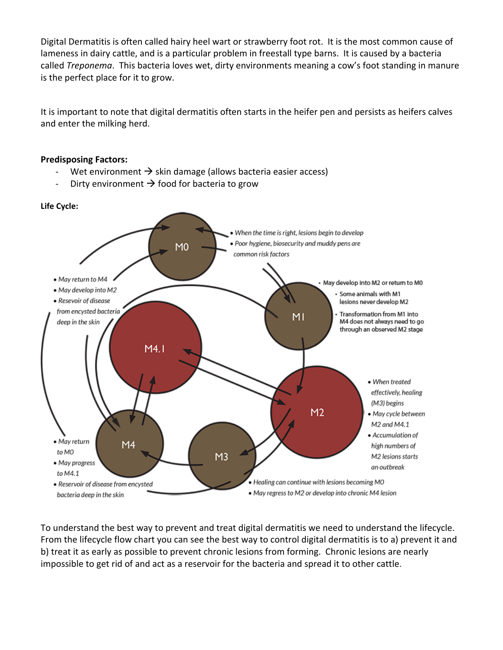Digital Dermatitis is often called hairy heel wart or strawberry foot rot. It is the most common cause of lameness in dairy cattle, and is a particular problem in freestall type barns. It is caused by a bacteria called *Treponema*. This bacteria loves wet, dirty environments meaning a cow's foot standing in manure is the perfect place for it to grow.

It is important to note that digital dermatitis often starts in the heifer pen and persists as heifers calves and enter the milking herd.

#### **Predisposing Factors:**

- Wet environment  $\rightarrow$  skin damage (allows bacteria easier access)
- Dirty environment  $\rightarrow$  food for bacteria to grow



To understand the best way to prevent and treat digital dermatitis we need to understand the lifecycle. From the lifecycle flow chart you can see the best way to control digital dermatitis is to a) prevent it and b) treat it as early as possible to prevent chronic lesions from forming. Chronic lesions are nearly impossible to get rid of and act as a reservoir for the bacteria and spread it to other cattle.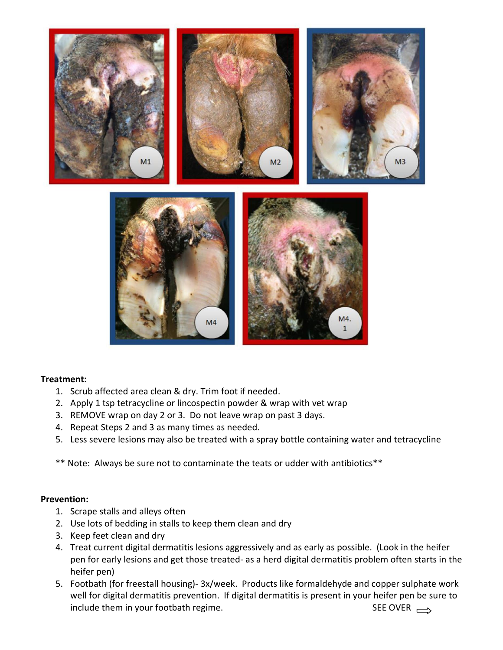

#### **Treatment:**

- 1. Scrub affected area clean & dry. Trim foot if needed.
- 2. Apply 1 tsp tetracycline or lincospectin powder & wrap with vet wrap
- 3. REMOVE wrap on day 2 or 3. Do not leave wrap on past 3 days.
- 4. Repeat Steps 2 and 3 as many times as needed.
- 5. Less severe lesions may also be treated with a spray bottle containing water and tetracycline
- \*\* Note: Always be sure not to contaminate the teats or udder with antibiotics\*\*

#### **Prevention:**

- 1. Scrape stalls and alleys often
- 2. Use lots of bedding in stalls to keep them clean and dry
- 3. Keep feet clean and dry
- 4. Treat current digital dermatitis lesions aggressively and as early as possible. (Look in the heifer pen for early lesions and get those treated- as a herd digital dermatitis problem often starts in the heifer pen)
- 5. Footbath (for freestall housing)- 3x/week. Products like formaldehyde and copper sulphate work well for digital dermatitis prevention. If digital dermatitis is present in your heifer pen be sure to include them in your footbath regime.  $SEE$  OVER  $\rightarrow$